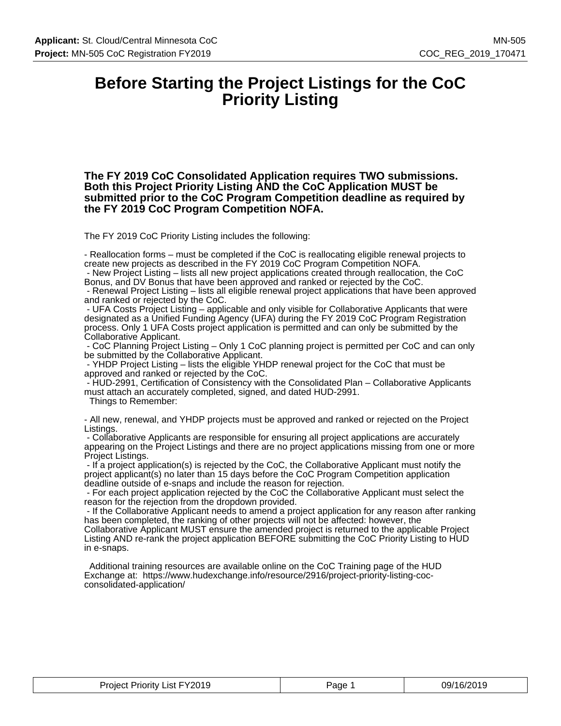#### **Before Starting the Project Listings for the CoC Priority Listing**

**The FY 2019 CoC Consolidated Application requires TWO submissions. Both this Project Priority Listing AND the CoC Application MUST be submitted prior to the CoC Program Competition deadline as required by the FY 2019 CoC Program Competition NOFA.**

The FY 2019 CoC Priority Listing includes the following:

- Reallocation forms – must be completed if the CoC is reallocating eligible renewal projects to create new projects as described in the FY 2019 CoC Program Competition NOFA. - New Project Listing – lists all new project applications created through reallocation, the CoC

Bonus, and DV Bonus that have been approved and ranked or rejected by the CoC.

 - Renewal Project Listing – lists all eligible renewal project applications that have been approved and ranked or rejected by the CoC.

 - UFA Costs Project Listing – applicable and only visible for Collaborative Applicants that were designated as a Unified Funding Agency (UFA) during the FY 2019 CoC Program Registration process. Only 1 UFA Costs project application is permitted and can only be submitted by the Collaborative Applicant.

 - CoC Planning Project Listing – Only 1 CoC planning project is permitted per CoC and can only be submitted by the Collaborative Applicant.

 - YHDP Project Listing – lists the eligible YHDP renewal project for the CoC that must be approved and ranked or rejected by the CoC.

 - HUD-2991, Certification of Consistency with the Consolidated Plan – Collaborative Applicants must attach an accurately completed, signed, and dated HUD-2991.

Things to Remember:

- All new, renewal, and YHDP projects must be approved and ranked or rejected on the Project Listings.

 - Collaborative Applicants are responsible for ensuring all project applications are accurately appearing on the Project Listings and there are no project applications missing from one or more Project Listings.

 - If a project application(s) is rejected by the CoC, the Collaborative Applicant must notify the project applicant(s) no later than 15 days before the CoC Program Competition application deadline outside of e-snaps and include the reason for rejection.

 - For each project application rejected by the CoC the Collaborative Applicant must select the reason for the rejection from the dropdown provided.

 - If the Collaborative Applicant needs to amend a project application for any reason after ranking has been completed, the ranking of other projects will not be affected: however, the Collaborative Applicant MUST ensure the amended project is returned to the applicable Project Listing AND re-rank the project application BEFORE submitting the CoC Priority Listing to HUD in e-snaps.

 Additional training resources are available online on the CoC Training page of the HUD Exchange at: https://www.hudexchange.info/resource/2916/project-priority-listing-cocconsolidated-application/

| List FY2019<br>Proiect<br>Priority .<br>____<br>______ | Page | 09/16/2019<br>____ |
|--------------------------------------------------------|------|--------------------|
|--------------------------------------------------------|------|--------------------|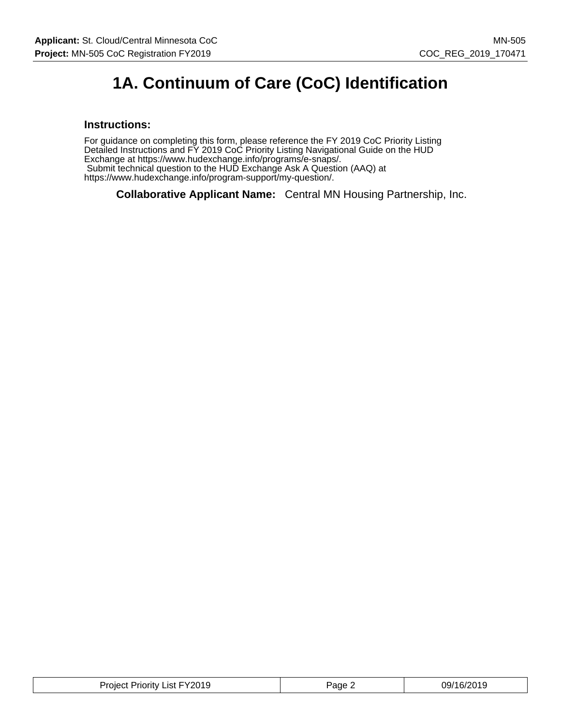### **1A. Continuum of Care (CoC) Identification**

#### **Instructions:**

For guidance on completing this form, please reference the FY 2019 CoC Priority Listing Detailed Instructions and FY 2019 CoC Priority Listing Navigational Guide on the HUD Exchange at https://www.hudexchange.info/programs/e-snaps/. Submit technical question to the HUD Exchange Ask A Question (AAQ) at https://www.hudexchange.info/program-support/my-question/.

**Collaborative Applicant Name:** Central MN Housing Partnership, Inc.

| Project Priority List FY2019 | $P$ age $\sim$ | 09/16/2019 |
|------------------------------|----------------|------------|
|------------------------------|----------------|------------|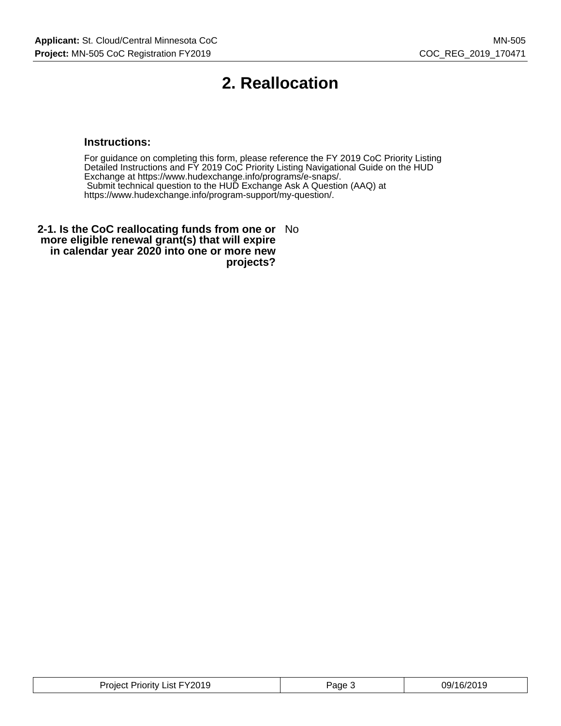### **2. Reallocation**

#### **Instructions:**

For guidance on completing this form, please reference the FY 2019 CoC Priority Listing Detailed Instructions and FY 2019 CoC Priority Listing Navigational Guide on the HUD Exchange at https://www.hudexchange.info/programs/e-snaps/. Submit technical question to the HUD Exchange Ask A Question (AAQ) at https://www.hudexchange.info/program-support/my-question/.

**2-1. Is the CoC reallocating funds from one or** No **more eligible renewal grant(s) that will expire in calendar year 2020 into one or more new projects?**

| Project Priority List FY2019 | Page | 09/16/2019 |
|------------------------------|------|------------|
|------------------------------|------|------------|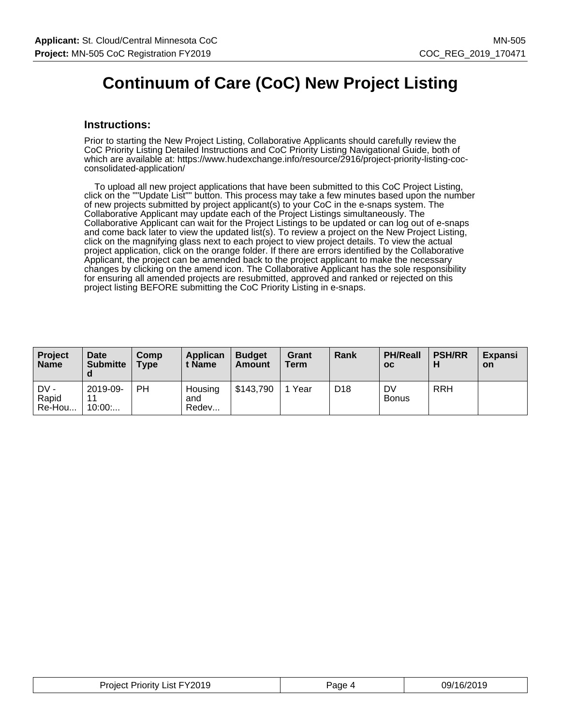### **Continuum of Care (CoC) New Project Listing**

#### **Instructions:**

Prior to starting the New Project Listing, Collaborative Applicants should carefully review the CoC Priority Listing Detailed Instructions and CoC Priority Listing Navigational Guide, both of which are available at: https://www.hudexchange.info/resource/2916/project-priority-listing-cocconsolidated-application/

 To upload all new project applications that have been submitted to this CoC Project Listing, click on the ""Update List"" button. This process may take a few minutes based upon the number of new projects submitted by project applicant(s) to your CoC in the e-snaps system. The Collaborative Applicant may update each of the Project Listings simultaneously. The Collaborative Applicant can wait for the Project Listings to be updated or can log out of e-snaps and come back later to view the updated list(s). To review a project on the New Project Listing, click on the magnifying glass next to each project to view project details. To view the actual project application, click on the orange folder. If there are errors identified by the Collaborative Applicant, the project can be amended back to the project applicant to make the necessary changes by clicking on the amend icon. The Collaborative Applicant has the sole responsibility for ensuring all amended projects are resubmitted, approved and ranked or rejected on this project listing BEFORE submitting the CoC Priority Listing in e-snaps.

| Project<br><b>Name</b>    | <b>Date</b><br><b>Submitte</b><br>a | <b>Comp</b><br><b>Type</b> | Applican<br>t Name      | <b>Budget</b><br>Amount | Grant<br>Term | Rank            | <b>PH/Reall</b><br><b>OC</b> | <b>PSH/RR</b> | <b>Expansi</b><br><b>on</b> |
|---------------------------|-------------------------------------|----------------------------|-------------------------|-------------------------|---------------|-----------------|------------------------------|---------------|-----------------------------|
| $DV -$<br>Rapid<br>Re-Hou | 2019-09-<br>11<br>10:00             | PН                         | Housing<br>and<br>Redev | \$143,790               | Year          | D <sub>18</sub> | DV<br><b>Bonus</b>           | <b>RRH</b>    |                             |

| <b>Project Priority List FY2019</b> | aqe 4 | 09/16/2019 |
|-------------------------------------|-------|------------|
|-------------------------------------|-------|------------|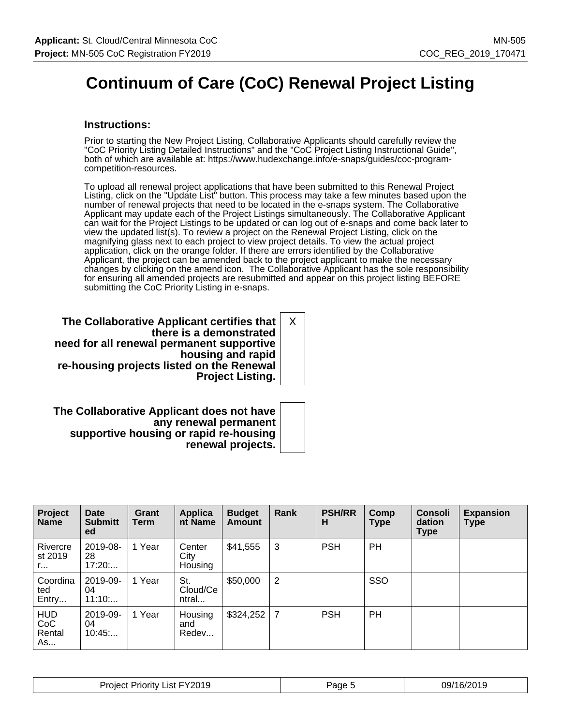# **Continuum of Care (CoC) Renewal Project Listing**

#### **Instructions:**

Prior to starting the New Project Listing, Collaborative Applicants should carefully review the "CoC Priority Listing Detailed Instructions" and the "CoC Project Listing Instructional Guide", both of which are available at: https://www.hudexchange.info/e-snaps/guides/coc-programcompetition-resources.

To upload all renewal project applications that have been submitted to this Renewal Project Listing, click on the "Update List" button. This process may take a few minutes based upon the number of renewal projects that need to be located in the e-snaps system. The Collaborative Applicant may update each of the Project Listings simultaneously. The Collaborative Applicant can wait for the Project Listings to be updated or can log out of e-snaps and come back later to view the updated list(s). To review a project on the Renewal Project Listing, click on the magnifying glass next to each project to view project details. To view the actual project application, click on the orange folder. If there are errors identified by the Collaborative Applicant, the project can be amended back to the project applicant to make the necessary changes by clicking on the amend icon. The Collaborative Applicant has the sole responsibility for ensuring all amended projects are resubmitted and appear on this project listing BEFORE submitting the CoC Priority Listing in e-snaps.

**The Collaborative Applicant certifies that there is a demonstrated need for all renewal permanent supportive housing and rapid re-housing projects listed on the Renewal Project Listing.** X

**The Collaborative Applicant does not have any renewal permanent supportive housing or rapid re-housing renewal projects.**

| Project<br><b>Name</b>              | <b>Date</b><br><b>Submitt</b><br>ed | Grant<br>Term | Applica<br>nt Name        | <b>Budget</b><br>Amount | Rank           | <b>PSH/RR</b><br>н | Comp<br><b>Type</b> | <b>Consoli</b><br>dation<br><b>Type</b> | <b>Expansion</b><br><b>Type</b> |
|-------------------------------------|-------------------------------------|---------------|---------------------------|-------------------------|----------------|--------------------|---------------------|-----------------------------------------|---------------------------------|
| Rivercre<br>st 2019<br>$r_{\cdots}$ | 2019-08-<br>28<br>17:20             | 1 Year        | Center<br>City<br>Housing | \$41,555                | 3              | <b>PSH</b>         | PH                  |                                         |                                 |
| Coordina<br>ted<br>Entry            | 2019-09-<br>04<br>11:10             | 1 Year        | St.<br>Cloud/Ce<br>ntral  | \$50,000                | 2              |                    | SSO                 |                                         |                                 |
| <b>HUD</b><br>CoC<br>Rental<br>As   | 2019-09-<br>04<br>10:45             | 1 Year        | Housing<br>and<br>Redev   | \$324,252               | $\overline{7}$ | <b>PSH</b>         | PH                  |                                         |                                 |

| Y2019 <sup>-</sup><br>∟ıst ⊢<br>Proiect<br><b>Priority</b> | Page | /16/2019<br>09/<br>. |
|------------------------------------------------------------|------|----------------------|
|------------------------------------------------------------|------|----------------------|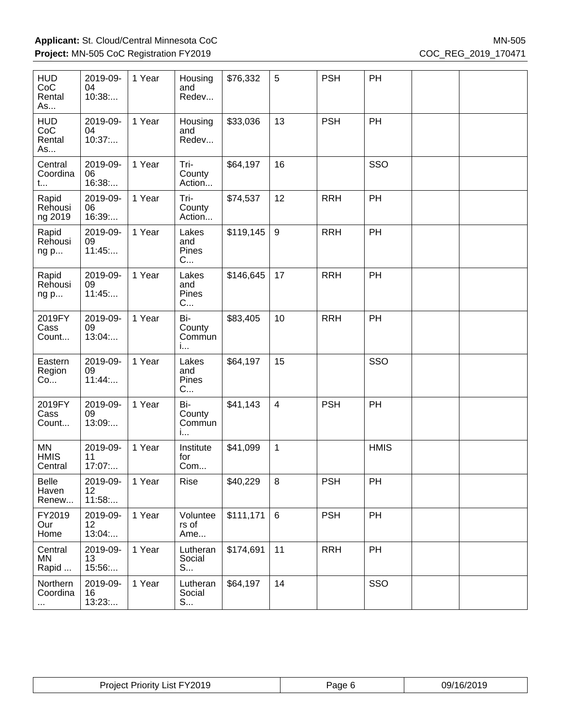| <b>HUD</b><br>CoC<br>Rental<br>As | 2019-09-<br>04<br>10:38  | 1 Year | Housing<br>and<br>Redev      | \$76,332  | 5              | <b>PSH</b> | PH          |  |
|-----------------------------------|--------------------------|--------|------------------------------|-----------|----------------|------------|-------------|--|
| <b>HUD</b><br>CoC<br>Rental<br>As | 2019-09-<br>04<br>10:37  | 1 Year | Housing<br>and<br>Redev      | \$33,036  | 13             | <b>PSH</b> | PH          |  |
| Central<br>Coordina<br>t          | 2019-09-<br>06<br>16:38  | 1 Year | Tri-<br>County<br>Action     | \$64,197  | 16             |            | SSO         |  |
| Rapid<br>Rehousi<br>ng 2019       | 2019-09-<br>06<br>16:39: | 1 Year | Tri-<br>County<br>Action     | \$74,537  | 12             | <b>RRH</b> | PH          |  |
| Rapid<br>Rehousi<br>ng p          | 2019-09-<br>09<br>11:45  | 1 Year | Lakes<br>and<br>Pines<br>C   | \$119,145 | 9              | <b>RRH</b> | PH          |  |
| Rapid<br>Rehousi<br>ng p          | 2019-09-<br>09<br>11:45  | 1 Year | Lakes<br>and<br>Pines<br>C   | \$146,645 | 17             | <b>RRH</b> | PH          |  |
| 2019FY<br>Cass<br>Count           | 2019-09-<br>09<br>13:04  | 1 Year | Bi-<br>County<br>Commun<br>i | \$83,405  | 10             | <b>RRH</b> | PH          |  |
| Eastern<br>Region<br>Co           | 2019-09-<br>09<br>11:44  | 1 Year | Lakes<br>and<br>Pines<br>C   | \$64,197  | 15             |            | SSO         |  |
| 2019FY<br>Cass<br>Count           | 2019-09-<br>09<br>13:09  | 1 Year | Bi-<br>County<br>Commun<br>i | \$41,143  | $\overline{4}$ | <b>PSH</b> | PH          |  |
| MN<br><b>HMIS</b><br>Central      | 2019-09-<br>11<br>17:07  | 1 Year | Institute<br>for<br>Com      | \$41,099  | $\mathbf{1}$   |            | <b>HMIS</b> |  |
| Belle<br>Haven<br>Renew           | 2019-09-<br>12<br>11:58  | 1 Year | Rise                         | \$40,229  | $\,8\,$        | <b>PSH</b> | PH          |  |
| FY2019<br>Our<br>Home             | 2019-09-<br>12<br>13:04: | 1 Year | Voluntee<br>rs of<br>Ame     | \$111,171 | 6              | <b>PSH</b> | PH          |  |
| Central<br>MN<br>Rapid            | 2019-09-<br>13<br>15:56  | 1 Year | Lutheran<br>Social<br>S      | \$174,691 | 11             | <b>RRH</b> | PH          |  |
| Northern<br>Coordina<br>$\cdots$  | 2019-09-<br>16<br>13:23  | 1 Year | Lutheran<br>Social<br>S      | \$64,197  | 14             |            | SSO         |  |

| Project Priority List FY2019 | Page 6 | 09/16/2019 |
|------------------------------|--------|------------|
|------------------------------|--------|------------|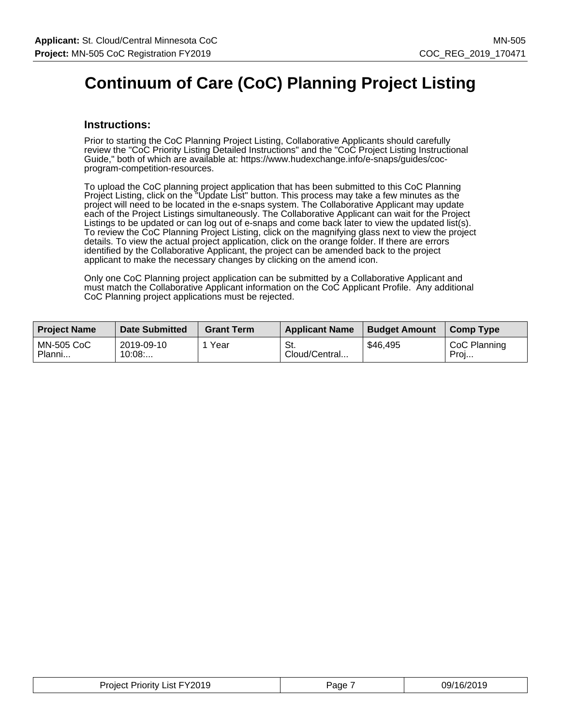## **Continuum of Care (CoC) Planning Project Listing**

#### **Instructions:**

Prior to starting the CoC Planning Project Listing, Collaborative Applicants should carefully review the "CoC Priority Listing Detailed Instructions" and the "CoC Project Listing Instructional Guide," both of which are available at: https://www.hudexchange.info/e-snaps/guides/cocprogram-competition-resources.

To upload the CoC planning project application that has been submitted to this CoC Planning Project Listing, click on the "Update List" button. This process may take a few minutes as the project will need to be located in the e-snaps system. The Collaborative Applicant may update each of the Project Listings simultaneously. The Collaborative Applicant can wait for the Project Listings to be updated or can log out of e-snaps and come back later to view the updated list(s). To review the CoC Planning Project Listing, click on the magnifying glass next to view the project details. To view the actual project application, click on the orange folder. If there are errors identified by the Collaborative Applicant, the project can be amended back to the project applicant to make the necessary changes by clicking on the amend icon.

Only one CoC Planning project application can be submitted by a Collaborative Applicant and must match the Collaborative Applicant information on the CoC Applicant Profile. Any additional CoC Planning project applications must be rejected.

| <b>Project Name</b>         | <b>Date Submitted</b> | <b>Grant Term</b> | <b>Applicant Name</b> | <b>Budget Amount</b> | <b>Comp Type</b>     |
|-----------------------------|-----------------------|-------------------|-----------------------|----------------------|----------------------|
| <b>MN-505 CoC</b><br>Planni | 2019-09-10<br>10:08   | Year              | St.<br>Cloud/Central  | \$46,495             | CoC Planning<br>Proj |

| <b>Project Priority List FY2019</b> | Page | 09/16/2019 |
|-------------------------------------|------|------------|
|-------------------------------------|------|------------|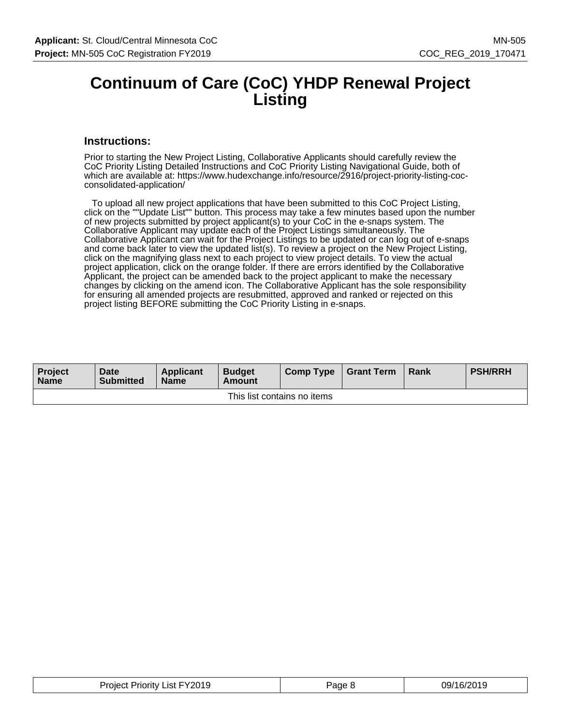#### **Continuum of Care (CoC) YHDP Renewal Project Listing**

#### **Instructions:**

Prior to starting the New Project Listing, Collaborative Applicants should carefully review the CoC Priority Listing Detailed Instructions and CoC Priority Listing Navigational Guide, both of which are available at: https://www.hudexchange.info/resource/2916/project-priority-listing-cocconsolidated-application/

 To upload all new project applications that have been submitted to this CoC Project Listing, click on the ""Update List"" button. This process may take a few minutes based upon the number of new projects submitted by project applicant(s) to your CoC in the e-snaps system. The Collaborative Applicant may update each of the Project Listings simultaneously. The Collaborative Applicant can wait for the Project Listings to be updated or can log out of e-snaps and come back later to view the updated list(s). To review a project on the New Project Listing, click on the magnifying glass next to each project to view project details. To view the actual project application, click on the orange folder. If there are errors identified by the Collaborative Applicant, the project can be amended back to the project applicant to make the necessary changes by clicking on the amend icon. The Collaborative Applicant has the sole responsibility for ensuring all amended projects are resubmitted, approved and ranked or rejected on this project listing BEFORE submitting the CoC Priority Listing in e-snaps.

| <b>Project</b><br><b>Name</b> | Date<br><b>Submitted</b> | <b>Applicant</b><br><b>Name</b> | <b>Budget</b><br>Amount | Comp Type | Grant Term | Rank | <b>PSH/RRH</b> |  |
|-------------------------------|--------------------------|---------------------------------|-------------------------|-----------|------------|------|----------------|--|
| This list contains no items   |                          |                                 |                         |           |            |      |                |  |

| <b>Project Priority List FY2019</b> | Page P | 09/16/2019 |
|-------------------------------------|--------|------------|
|-------------------------------------|--------|------------|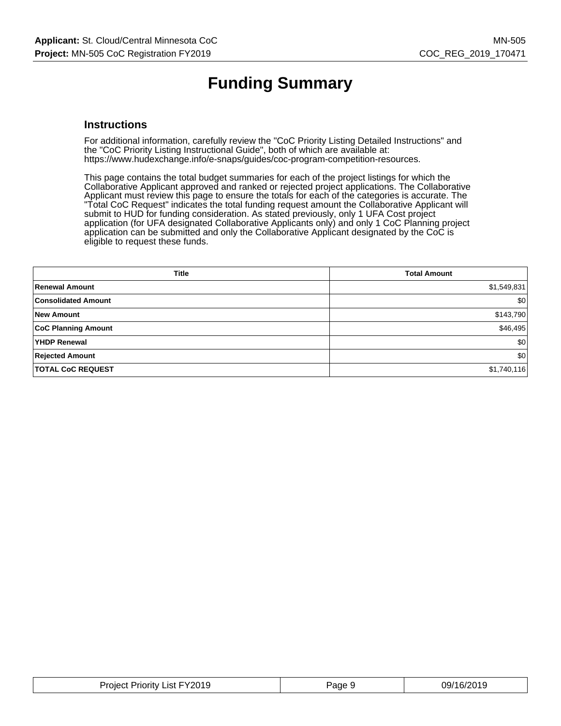# **Funding Summary**

#### **Instructions**

For additional information, carefully review the "CoC Priority Listing Detailed Instructions" and the "CoC Priority Listing Instructional Guide", both of which are available at: https://www.hudexchange.info/e-snaps/guides/coc-program-competition-resources.

This page contains the total budget summaries for each of the project listings for which the Collaborative Applicant approved and ranked or rejected project applications. The Collaborative Applicant must review this page to ensure the totals for each of the categories is accurate. The "Total CoC Request" indicates the total funding request amount the Collaborative Applicant will submit to HUD for funding consideration. As stated previously, only 1 UFA Cost project application (for UFA designated Collaborative Applicants only) and only 1 CoC Planning project application can be submitted and only the Collaborative Applicant designated by the CoC is eligible to request these funds.

| <b>Title</b>               | <b>Total Amount</b> |
|----------------------------|---------------------|
| <b>Renewal Amount</b>      | \$1,549,831         |
| <b>Consolidated Amount</b> | \$0                 |
| <b>New Amount</b>          | \$143,790           |
| <b>CoC Planning Amount</b> | \$46,495            |
| YHDP Renewal               | \$0                 |
| <b>Rejected Amount</b>     | \$0                 |
| <b>TOTAL CoC REQUEST</b>   | \$1,740,116         |

| List FY2019<br>' 'rı∩rıtv ∟<br>Project | 'age | 09/16/<br>ີ່ |
|----------------------------------------|------|--------------|
|                                        |      |              |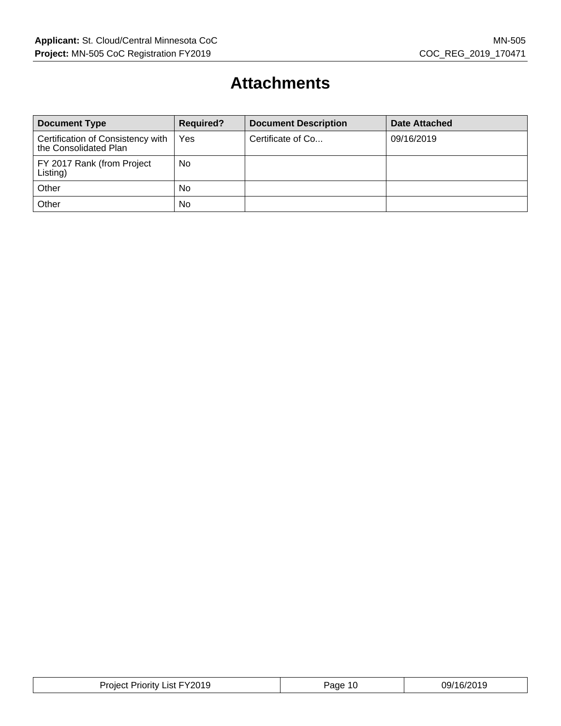### **Attachments**

| <b>Document Type</b>                                       | <b>Required?</b> | <b>Document Description</b> | <b>Date Attached</b> |
|------------------------------------------------------------|------------------|-----------------------------|----------------------|
| Certification of Consistency with<br>the Consolidated Plan | Yes              | Certificate of Co           | 09/16/2019           |
| FY 2017 Rank (from Project<br>Listing)                     | No               |                             |                      |
| Other                                                      | No               |                             |                      |
| Other                                                      | No               |                             |                      |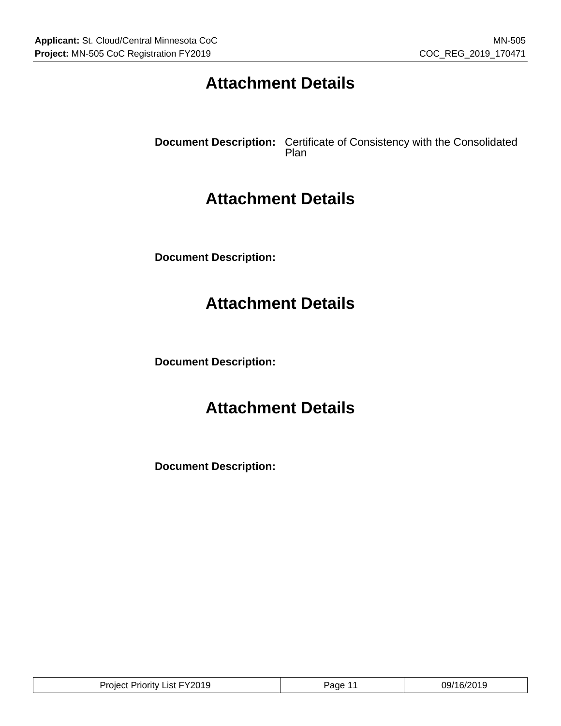## **Attachment Details**

**Document Description:** Certificate of Consistency with the Consolidated Plan

### **Attachment Details**

**Document Description:**

### **Attachment Details**

**Document Description:**

### **Attachment Details**

**Document Description:**

| FY2019<br>ے د د<br>.ıst<br>rıorıtv<br>nier | 'ane<br>− | na,<br>л. |
|--------------------------------------------|-----------|-----------|
|--------------------------------------------|-----------|-----------|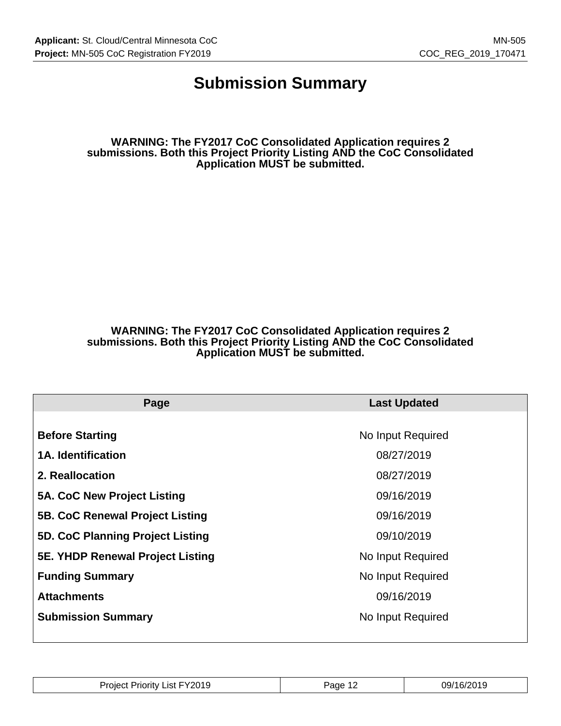#### **Submission Summary**

**WARNING: The FY2017 CoC Consolidated Application requires 2 submissions. Both this Project Priority Listing AND the CoC Consolidated Application MUST be submitted.**

#### **WARNING: The FY2017 CoC Consolidated Application requires 2 submissions. Both this Project Priority Listing AND the CoC Consolidated Application MUST be submitted.**

| Page                                    | <b>Last Updated</b> |  |
|-----------------------------------------|---------------------|--|
|                                         |                     |  |
| <b>Before Starting</b>                  | No Input Required   |  |
| <b>1A. Identification</b>               | 08/27/2019          |  |
| 2. Reallocation                         | 08/27/2019          |  |
| 5A. CoC New Project Listing             | 09/16/2019          |  |
| <b>5B. CoC Renewal Project Listing</b>  | 09/16/2019          |  |
| 5D. CoC Planning Project Listing        | 09/10/2019          |  |
| <b>5E. YHDP Renewal Project Listing</b> | No Input Required   |  |
| <b>Funding Summary</b>                  | No Input Required   |  |
| <b>Attachments</b>                      | 09/16/2019          |  |
| <b>Submission Summary</b>               | No Input Required   |  |
|                                         |                     |  |

| Project Priority List FY2019 | Page | 09/16/2019 |
|------------------------------|------|------------|
|                              |      |            |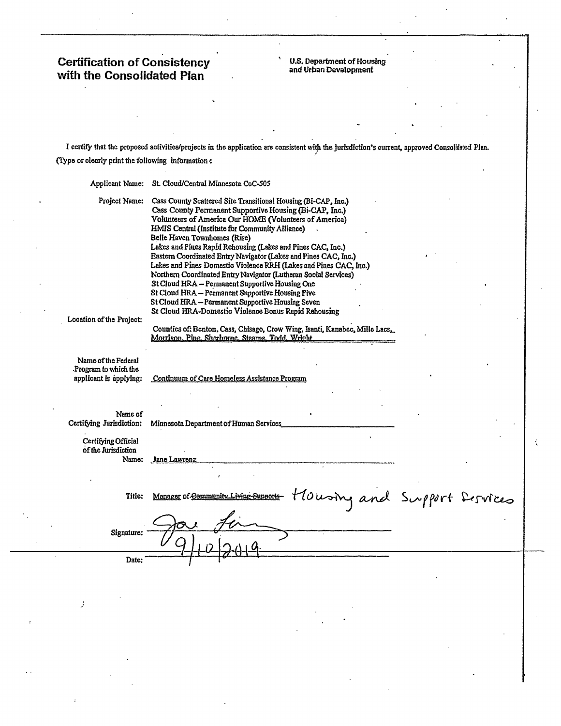# **Certification of Consistency<br>with the Consolidated Plan**

**U.S. Department of Housing**<br>and Urban Development

I certify that the proposed activities/projects in the application are consistent with the jurisdiction's current, approved Consolidated Plan. (Type or clearly print the following information:

| Applicant Name:                                                       | St. Cloud/Central Minnesota CoC-505                                                                                                                                                                                                                                                                                                                                                                                                                                                                                                                                                                                                                                                                          |  |
|-----------------------------------------------------------------------|--------------------------------------------------------------------------------------------------------------------------------------------------------------------------------------------------------------------------------------------------------------------------------------------------------------------------------------------------------------------------------------------------------------------------------------------------------------------------------------------------------------------------------------------------------------------------------------------------------------------------------------------------------------------------------------------------------------|--|
| Project Name:                                                         | Cass County Scattered Site Transitional Housing (Bi-CAP, Inc.)<br>Cass County Permanent Supportive Housing (Bi-CAP, Inc.)<br>Volunteers of America Our HOME (Volunteers of America)<br>HMIS Central (Institute for Community Alliance)<br>Belle Haven Townhomes (Rise)<br>Lakes and Pines Rapid Rehousing (Lakes and Pines CAC, Inc.)<br>Eastern Coordinated Entry Navigator (Lakes and Pines CAC, Inc.)<br>Lakes and Pines Domestic Violence RRH (Lakes and Pines CAC, Inc.)<br>Northern Coordinated Entry Navigator (Lutheran Social Services)<br>St Cloud HRA - Permanent Supportive Housing One<br>St Cloud HRA - Permanent Supportive Housing Five<br>St Cloud HRA - Permanent Supportive Housing Seven |  |
| Location of the Project:                                              | St Cloud HRA-Domestic Violence Bonus Rapid Rehousing<br>Counties of: Benton, Cass, Chisago, Crow Wing, Isanti, Kanabec, Mille Lacs,<br>Morrison, Pine, Sherhurne, Stearns, Todd, Wright                                                                                                                                                                                                                                                                                                                                                                                                                                                                                                                      |  |
| Name of the Federal<br>Program to which the<br>applicant is applying: | Continuum of Care Homeless Assistance Program                                                                                                                                                                                                                                                                                                                                                                                                                                                                                                                                                                                                                                                                |  |
|                                                                       |                                                                                                                                                                                                                                                                                                                                                                                                                                                                                                                                                                                                                                                                                                              |  |
| Name of<br>Certifying Jurisdiction:                                   | Minnesota Department of Human Services                                                                                                                                                                                                                                                                                                                                                                                                                                                                                                                                                                                                                                                                       |  |
| Certifying Official<br>of the Jurisdiction<br>Name:                   | Jane Lawrenz                                                                                                                                                                                                                                                                                                                                                                                                                                                                                                                                                                                                                                                                                                 |  |
| Title:                                                                | Housing and Support Dervices<br>Manager of Community Living                                                                                                                                                                                                                                                                                                                                                                                                                                                                                                                                                                                                                                                  |  |
| Signature:                                                            |                                                                                                                                                                                                                                                                                                                                                                                                                                                                                                                                                                                                                                                                                                              |  |
| Date:                                                                 |                                                                                                                                                                                                                                                                                                                                                                                                                                                                                                                                                                                                                                                                                                              |  |

í